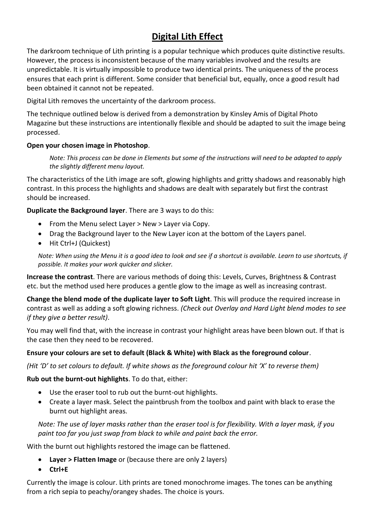# **Digital Lith Effect**

The darkroom technique of Lith printing is a popular technique which produces quite distinctive results. However, the process is inconsistent because of the many variables involved and the results are unpredictable. It is virtually impossible to produce two identical prints. The uniqueness of the process ensures that each print is different. Some consider that beneficial but, equally, once a good result had been obtained it cannot not be repeated.

Digital Lith removes the uncertainty of the darkroom process.

The technique outlined below is derived from a demonstration by Kinsley Amis of Digital Photo Magazine but these instructions are intentionally flexible and should be adapted to suit the image being processed.

### **Open your chosen image in Photoshop**.

*Note: This process can be done in Elements but some of the instructions will need to be adapted to apply the slightly different menu layout.*

The characteristics of the Lith image are soft, glowing highlights and gritty shadows and reasonably high contrast. In this process the highlights and shadows are dealt with separately but first the contrast should be increased.

**Duplicate the Background layer**. There are 3 ways to do this:

- From the Menu select Layer > New > Layer via Copy.
- Drag the Background layer to the New Layer icon at the bottom of the Layers panel.
- Hit Ctrl+J (Quickest)

*Note: When using the Menu it is a good idea to look and see if a shortcut is available. Learn to use shortcuts, if possible. It makes your work quicker and slicker.*

**Increase the contrast**. There are various methods of doing this: Levels, Curves, Brightness & Contrast etc. but the method used here produces a gentle glow to the image as well as increasing contrast.

**Change the blend mode of the duplicate layer to Soft Light**. This will produce the required increase in contrast as well as adding a soft glowing richness. *(Check out Overlay and Hard Light blend modes to see if they give a better result)*.

You may well find that, with the increase in contrast your highlight areas have been blown out. If that is the case then they need to be recovered.

### **Ensure your colours are set to default (Black & White) with Black as the foreground colour**.

*(Hit 'D' to set colours to default. If white shows as the foreground colour hit 'X' to reverse them)*

**Rub out the burnt-out highlights**. To do that, either:

- Use the eraser tool to rub out the burnt-out highlights.
- Create a layer mask. Select the paintbrush from the toolbox and paint with black to erase the burnt out highlight areas.

*Note: The use of layer masks rather than the eraser tool is for flexibility. With a layer mask, if you paint too far you just swap from black to while and paint back the error.*

With the burnt out highlights restored the image can be flattened.

- **Layer > Flatten Image** or (because there are only 2 layers)
- **Ctrl+E**

Currently the image is colour. Lith prints are toned monochrome images. The tones can be anything from a rich sepia to peachy/orangey shades. The choice is yours.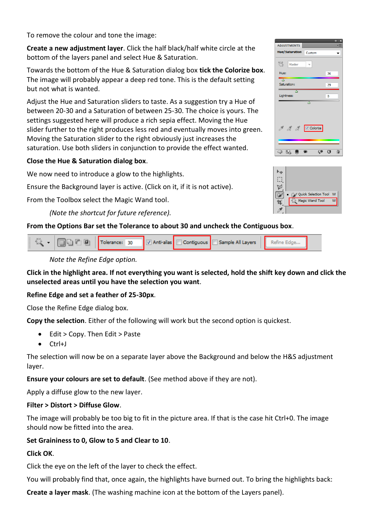To remove the colour and tone the image:

**Create a new adjustment layer**. Click the half black/half white circle at the bottom of the layers panel and select Hue & Saturation.

Towards the bottom of the Hue & Saturation dialog box **tick the Colorize box**. The image will probably appear a deep red tone. This is the default setting but not what is wanted.

Adjust the Hue and Saturation sliders to taste. As a suggestion try a Hue of between 20-30 and a Saturation of between 25-30. The choice is yours. The settings suggested here will produce a rich sepia effect. Moving the Hue slider further to the right produces less red and eventually moves into green. Moving the Saturation slider to the right obviously just increases the saturation. Use both sliders in conjunction to provide the effect wanted.

# **Close the Hue & Saturation dialog box**.

We now need to introduce a glow to the highlights.

Ensure the Background layer is active. (Click on it, if it is not active).

From the Toolbox select the Magic Wand tool.

# *(Note the shortcut for future reference).*

# **From the Options Bar set the Tolerance to about 30 and uncheck the Contiguous box**.

| Tolerance: 30   Anti-alias   Contiguous   Sample All Layers |  |  |  |  |  |  |  |
|-------------------------------------------------------------|--|--|--|--|--|--|--|
|-------------------------------------------------------------|--|--|--|--|--|--|--|

*Note the Refine Edge option.*

### **Click in the highlight area. If not everything you want is selected, hold the shift key down and click the unselected areas until you have the selection you want**.

### **Refine Edge and set a feather of 25-30px**.

Close the Refine Edge dialog box.

**Copy the selection**. Either of the following will work but the second option is quickest.

- Edit > Copy. Then Edit > Paste
- Ctrl+J

The selection will now be on a separate layer above the Background and below the H&S adjustment layer.

**Ensure your colours are set to default**. (See method above if they are not).

Apply a diffuse glow to the new layer.

### **Filter > Distort > Diffuse Glow**.

The image will probably be too big to fit in the picture area. If that is the case hit Ctrl+0. The image should now be fitted into the area.

# **Set Graininess to 0, Glow to 5 and Clear to 10**.

# **Click OK**.

Click the eye on the left of the layer to check the effect.

You will probably find that, once again, the highlights have burned out. To bring the highlights back:

**Create a layer mask**. (The washing machine icon at the bottom of the Layers panel).